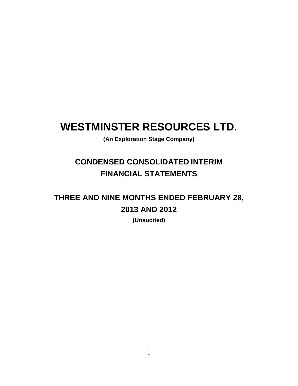# **WESTMINSTER RESOURCES LTD.**

**(An Exploration Stage Company)**

## **CONDENSED CONSOLIDATED INTERIM FINANCIAL STATEMENTS**

## **THREE AND NINE MONTHS ENDED FEBRUARY 28, 2013 AND 2012**

**(Unaudited)**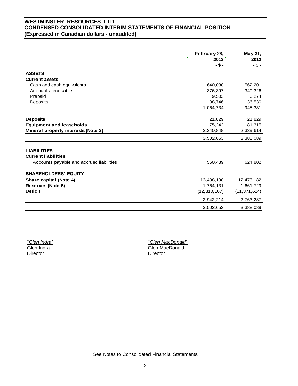## **WESTMINSTER RESOURCES LTD. CONDENSED CONSOLIDATED INTERIM STATEMENTS OF FINANCIAL POSITION (Expressed in Canadian dollars - unaudited)**

|                                                  | February 28,<br>2013 | May 31,<br>2012 |
|--------------------------------------------------|----------------------|-----------------|
|                                                  | $- $ -$              | $-$ \$ -        |
| <b>ASSETS</b>                                    |                      |                 |
| <b>Current assets</b>                            |                      |                 |
| Cash and cash equivalents                        | 640,088              | 562,201         |
| Accounts receivable                              | 376,397              | 340,326         |
| Prepaid                                          | 9,503                | 6,274           |
| Deposits                                         | 38,746               | 36,530          |
|                                                  | 1,064,734            | 945,331         |
| <b>Deposits</b>                                  | 21,829               | 21,829          |
| <b>Equipment and leaseholds</b>                  | 75,242               | 81,315          |
| Mineral property interests (Note 3)              | 2,340,848            | 2,339,614       |
|                                                  | 3,502,653            | 3,388,089       |
|                                                  |                      |                 |
| <b>LIABILITIES</b><br><b>Current liabilities</b> |                      |                 |
| Accounts payable and accrued liabilities         | 560,439              | 624,802         |
| <b>SHAREHOLDERS' EQUITY</b>                      |                      |                 |
| Share capital (Note 4)                           | 13,488,190           | 12,473,182      |
| Reserves (Note 5)                                | 1,764,131            | 1,661,729       |
| <b>Deficit</b>                                   | (12, 310, 107)       | (11, 371, 624)  |
|                                                  | 2,942,214            | 2,763,287       |
|                                                  | 3,502,653            | 3,388,089       |

"*Glen Indra*" Glen Indra Director

"*Glen MacDonald*" Glen MacDonald Director

See Notes to Consolidated Financial Statements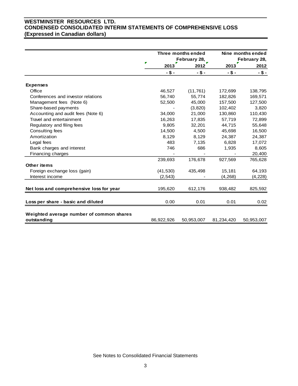## **WESTMINSTER RESOURCES LTD. CONDENSED CONSOLIDATED INTERIM STATEMENTS OF COMPREHENSIVE LOSS (Expressed in Canadian dollars)**

|                                                         |            | Three months ended<br>February 28, |            | Nine months ended<br>February 28, |
|---------------------------------------------------------|------------|------------------------------------|------------|-----------------------------------|
|                                                         | Р<br>2013  | 2012                               | 2013       | 2012                              |
|                                                         | $-$ \$ -   | $-$ \$ -                           | $-5-$      | $-$ \$ -                          |
| <b>Expenses</b>                                         |            |                                    |            |                                   |
| Office                                                  | 46,527     | (11, 761)                          | 172,699    | 138,795                           |
| Conferences and investor relations                      | 56,740     | 55,774                             | 182,826    | 169,571                           |
| Management fees (Note 6)                                | 52,500     | 45,000                             | 157,500    | 127,500                           |
| Share-based payments                                    |            | (3,820)                            | 102,402    | 3,820                             |
| Accounting and audit fees (Note 6)                      | 34,000     | 21,000                             | 130,860    | 110,430                           |
| Travel and entertainment                                | 16,263     | 17,835                             | 57,719     | 72,899                            |
| Regulatory and filing fees                              | 9,805      | 32,201                             | 44,715     | 55,648                            |
| Consulting fees                                         | 14,500     | 4,500                              | 45,698     | 16,500                            |
| Amortization                                            | 8,129      | 8,129                              | 24,387     | 24,387                            |
| Legal fees                                              | 483        | 7,135                              | 6,828      | 17,072                            |
| Bank charges and interest                               | 746        | 686                                | 1,935      | 8,605                             |
| Financing charges                                       |            |                                    |            | 20,400                            |
|                                                         | 239,693    | 176,678                            | 927,569    | 765,628                           |
| <b>Other items</b>                                      |            |                                    |            |                                   |
| Foreign exchange loss (gain)                            | (41, 530)  | 435,498                            | 15,181     | 64,193                            |
| Interest income                                         | (2, 543)   |                                    | (4, 268)   | (4,228)                           |
|                                                         |            |                                    |            |                                   |
| Net loss and comprehensive loss for year                | 195,620    | 612,176                            | 938,482    | 825,592                           |
| Loss per share - basic and diluted                      | 0.00       | 0.01                               | 0.01       | 0.02                              |
| Weighted average number of common shares<br>outstanding | 86,922,926 | 50,953,007                         | 81,234,420 | 50,953,007                        |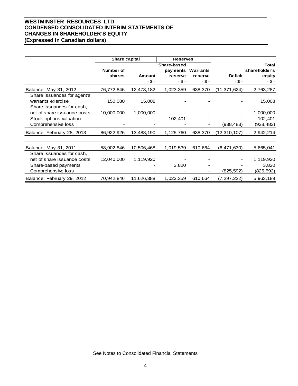## **WESTMINSTER RESOURCES LTD. CONDENSED CONSOLIDATED INTERIM STATEMENTS OF CHANGES IN SHAREHOLDER'S EQUITY (Expressed in Canadian dollars)**

|                                                                               | <b>Share capital</b><br><b>Reserves</b> |                          |                                              |                                       |                         |                                                 |
|-------------------------------------------------------------------------------|-----------------------------------------|--------------------------|----------------------------------------------|---------------------------------------|-------------------------|-------------------------------------------------|
|                                                                               | Number of<br>shares                     | <b>Amount</b><br>$- $ -$ | Share-based<br>payments<br>reserve<br>$-5 -$ | <b>Warrants</b><br>reserve<br>$- $ -$ | <b>Deficit</b><br>$-5-$ | <b>Total</b><br>shareholder's<br>equity<br>-\$- |
| Balance, May 31, 2012                                                         | 76,772,846                              | 12,473,182               | 1,023,359                                    | 638,370                               | (11, 371, 624)          | 2,763,287                                       |
| Share issuances for agent's<br>warrants exercise<br>Share issuances for cash, | 150,080                                 | 15,008                   |                                              |                                       |                         | 15,008                                          |
| net of share issuance costs                                                   | 10,000,000                              | 1,000,000                |                                              |                                       |                         | 1,000,000                                       |
| Stock options valuation                                                       |                                         |                          | 102,401                                      |                                       |                         | 102,401                                         |
| Comprehensive loss                                                            |                                         |                          |                                              |                                       | (938,483)               | (938, 483)                                      |
| Balance, February 28, 2013                                                    | 86,922,926                              | 13,488,190               | 1,125,760                                    | 638,370                               | (12, 310, 107)          | 2,942,214                                       |
|                                                                               |                                         |                          |                                              |                                       |                         |                                                 |
| Balance, May 31, 2011                                                         | 58,902,846                              | 10,506,468               | 1,019,539                                    | 610,664                               | (6,471,630)             | 5,665,041                                       |
| Share issuances for cash,                                                     |                                         |                          |                                              |                                       |                         |                                                 |
| net of share issuance costs                                                   | 12,040,000                              | 1,119,920                |                                              |                                       |                         | 1,119,920                                       |
| Share-based payments                                                          |                                         |                          | 3,820                                        |                                       |                         | 3,820                                           |
| Comprehensive loss                                                            |                                         |                          |                                              |                                       | (825, 592)              | (825,592)                                       |
| Balance, February 29, 2012                                                    | 70,942,846                              | 11,626,388               | 1,023,359                                    | 610,664                               | (7, 297, 222)           | 5,963,189                                       |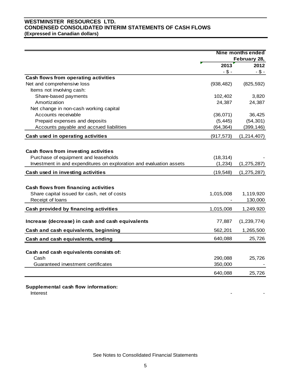## **WESTMINSTER RESOURCES LTD. CONDENSED CONSOLIDATED INTERIM STATEMENTS OF CASH FLOWS (Expressed in Canadian dollars)**

|                                                                     | <b>Nine months ended</b> |               |
|---------------------------------------------------------------------|--------------------------|---------------|
|                                                                     |                          | February 28,  |
|                                                                     | 2013                     | 2012          |
|                                                                     | $- $ -$                  | $- $ -$       |
| Cash flows from operating activities                                |                          |               |
| Net and comprehensive loss                                          | (938, 482)               | (825, 592)    |
| Items not involving cash:                                           |                          |               |
| Share-based payments                                                | 102,402                  | 3,820         |
| Amortization                                                        | 24,387                   | 24,387        |
| Net change in non-cash working capital                              |                          |               |
| Accounts receivable                                                 | (36,071)                 | 36,425        |
| Prepaid expenses and deposits                                       | (5, 445)                 | (54, 301)     |
| Accounts payable and accrued liabilities                            | (64, 364)                | (399, 146)    |
| Cash used in operating activities                                   | (917, 573)               | (1, 214, 407) |
|                                                                     |                          |               |
| Cash flows from investing activities                                |                          |               |
| Purchase of equipment and leaseholds                                | (18, 314)                |               |
| Investment in and expenditures on exploration and evaluation assets | (1, 234)                 | (1, 275, 287) |
| Cash used in investing activities                                   | (19, 548)                | (1, 275, 287) |
|                                                                     |                          |               |
| Cash flows from financing activities                                |                          |               |
| Share capital issued for cash, net of costs                         | 1,015,008                | 1,119,920     |
| Receipt of loans                                                    |                          | 130,000       |
| Cash provided by financing activities                               | 1,015,008                | 1,249,920     |
| Increase (decrease) in cash and cash equivalents                    | 77,887                   | (1, 239, 774) |
|                                                                     |                          |               |
| Cash and cash equivalents, beginning                                | 562,201                  | 1,265,500     |
| Cash and cash equivalents, ending                                   | 640,088                  | 25,726        |
| Cash and cash equivalents consists of:                              |                          |               |
| Cash                                                                | 290,088                  | 25,726        |
| Guaranteed investment certificates                                  | 350,000                  |               |
|                                                                     |                          |               |
|                                                                     | 640,088                  | 25,726        |

**Supplemental cash flow information:**

Interest - -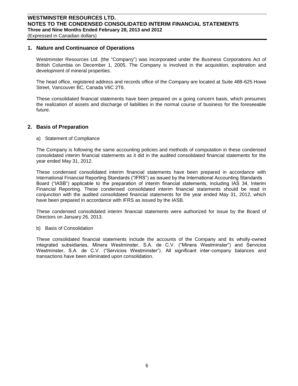#### **1. Nature and Continuance of Operations**

Westminster Resources Ltd. (the "Company") was incorporated under the Business Corporations Act of British Columbia on December 1, 2005. The Company is involved in the acquisition, exploration and development of mineral properties.

The head office, registered address and records office of the Company are located at Suite 488-625 Howe Street, Vancouver BC, Canada V6C 2T6.

These consolidated financial statements have been prepared on a going concern basis, which presumes the realization of assets and discharge of liabilities in the normal course of business for the foreseeable future.

#### **2. Basis of Preparation**

a) Statement of Compliance

The Company is following the same accounting policies and methods of computation in these condensed consolidated interim financial statements as it did in the audited consolidated financial statements for the year ended May 31, 2012.

These condensed consolidated interim financial statements have been prepared in accordance with International Financial Reporting Standards ("IFRS") as issued by the International Accounting Standards Board ("IASB") applicable to the preparation of interim financial statements, including IAS 34, Interim Financial Reporting. These condensed consolidated interim financial statements should be read in conjunction with the audited consolidated financial statements for the year ended May 31, 2012, which have been prepared in accordance with IFRS as issued by the IASB.

These condensed consolidated interim financial statements were authorized for issue by the Board of Directors on January 26, 2013.

b) Basis of Consolidation

These consolidated financial statements include the accounts of the Company and its wholly-owned integrated subsidiaries, Minera Westminster, S.A. de C.V. ("Minera Westminster") and Servicios Westminster, S.A. de C.V. ("Servicios Westminster"). All significant inter-company balances and transactions have been eliminated upon consolidation.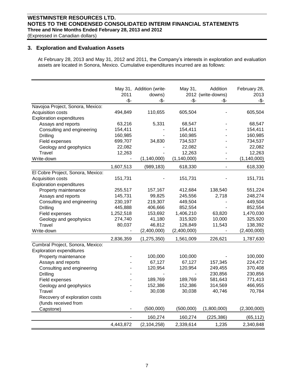## **WESTMINSTER RESOURCES LTD. NOTES TO THE CONDENSED CONSOLIDATED INTERIM FINANCIAL STATEMENTS Three and Nine Months Ended February 28, 2013 and 2012**

(Expressed in Canadian dollars)

## **3. Exploration and Evaluation Assets**

At February 28, 2013 and May 31, 2012 and 2011, the Company's interests in exploration and evaluation assets are located in Sonora, Mexico. Cumulative expenditures incurred are as follows:

|                                   | 2011<br>-\$- | May 31, Addition (write-<br>downs)<br>-\$- | May 31,<br>-\$- | Addition<br>2012 (write-downs)<br>-\$- | February 28,<br>2013<br>-\$- |
|-----------------------------------|--------------|--------------------------------------------|-----------------|----------------------------------------|------------------------------|
| Navojoa Project, Sonora, Mexico:  |              |                                            |                 |                                        |                              |
| Acquisition costs                 | 494,849      | 110,655                                    | 605,504         |                                        | 605,504                      |
| <b>Exploration expenditures</b>   |              |                                            |                 |                                        |                              |
| Assays and reports                | 63,216       | 5,331                                      | 68,547          |                                        | 68,547                       |
| Consulting and engineering        | 154,411      |                                            | 154,411         |                                        | 154,411                      |
| <b>Drilling</b>                   | 160,985      |                                            | 160,985         |                                        | 160,985                      |
| Field expenses                    | 699,707      | 34,830                                     | 734,537         |                                        | 734,537                      |
| Geology and geophysics            | 22,082       |                                            | 22,082          |                                        | 22,082                       |
| Travel                            | 12,263       |                                            | 12,263          |                                        | 12,263                       |
| Write-down                        |              | (1, 140, 000)                              | (1, 140, 000)   |                                        | (1, 140, 000)                |
|                                   | 1,607,513    | (989, 183)                                 | 618,330         | $\frac{1}{2}$                          | 618,330                      |
| El Cobre Project, Sonora, Mexico: |              |                                            |                 |                                        |                              |
| Acquisition costs                 | 151,731      |                                            | 151,731         |                                        | 151,731                      |
| <b>Exploration expenditures</b>   |              |                                            |                 |                                        |                              |
| Property maintenance              | 255,517      | 157,167                                    | 412,684         | 138,540                                | 551,224                      |
| Assays and reports                | 145,731      | 99,825                                     | 245,556         | 2,718                                  | 248,274                      |
| Consulting and engineering        | 230,197      | 219,307                                    | 449,504         |                                        | 449,504                      |
| Drilling                          | 445,888      | 406,666                                    | 852,554         |                                        | 852,554                      |
| Field expenses                    | 1,252,518    | 153,692                                    | 1,406,210       | 63,820                                 | 1,470,030                    |
| Geology and geophysics            | 274,740      | 41,180                                     | 315,920         | 10,000                                 | 325,920                      |
| Travel                            | 80,037       | 46,812                                     | 126,849         | 11,543                                 | 138,392                      |
| Write-down                        |              | (2,400,000)                                | (2,400,000)     |                                        | (2,400,000)                  |
|                                   | 2,836,359    | (1, 275, 350)                              | 1,561,009       | 226,621                                | 1,787,630                    |
| Cumbral Project, Sonora, Mexico:  |              |                                            |                 |                                        |                              |
| <b>Exploration expenditures</b>   |              |                                            |                 |                                        |                              |
| Property maintenance              |              | 100,000                                    | 100,000         |                                        | 100,000                      |
| Assays and reports                |              | 67,127                                     | 67,127          | 157,345                                | 224,472                      |
| Consulting and engineering        |              | 120,954                                    | 120,954         | 249,455                                | 370,408                      |
| Drilling                          |              |                                            |                 | 230,856                                | 230,856                      |
| Field expenses                    |              | 189,769                                    | 189,769         | 581,643                                | 771,413                      |
| Geology and geophysics            |              | 152,386                                    | 152,386         | 314,569                                | 466,955                      |
| Travel                            |              | 30,038                                     | 30,038          | 40,746                                 | 70,784                       |
| Recovery of exploration costs     |              |                                            |                 |                                        |                              |
| (funds received from              |              |                                            |                 |                                        |                              |
| Capstone)                         |              | (500,000)                                  | (500,000)       | (1,800,000)                            | (2,300,000)                  |
|                                   |              | 160,274                                    | 160,274         | (225, 386)                             | (65, 112)                    |
|                                   | 4,443,872    | (2, 104, 258)                              | 2,339,614       | 1,235                                  | 2,340,848                    |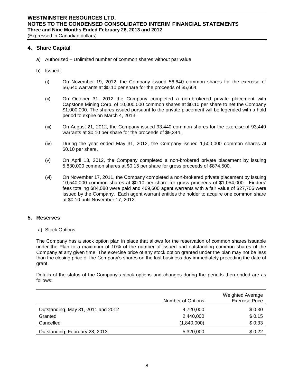#### **4. Share Capital**

- a) Authorized Unlimited number of common shares without par value
- b) Issued:
	- (i) On November 19, 2012, the Company issued 56,640 common shares for the exercise of 56,640 warrants at \$0.10 per share for the proceeds of \$5,664.
	- (ii) On October 31, 2012 the Company completed a non-brokered private placement with Capstone Mining Corp. of 10,000,000 common shares at \$0.10 per share to net the Company \$1,000,000. The shares issued pursuant to the private placement will be legended with a hold period to expire on March 4, 2013.
	- (iii) On August 21, 2012, the Company issued 93,440 common shares for the exercise of 93,440 warrants at \$0.10 per share for the proceeds of \$9,344.
	- (iv) During the year ended May 31, 2012, the Company issued 1,500,000 common shares at \$0.10 per share.
	- (v) On April 13, 2012, the Company completed a non-brokered private placement by issuing 5,830,000 common shares at \$0.15 per share for gross proceeds of \$874,500.
	- (vi) On November 17, 2011, the Company completed a non-brokered private placement by issuing 10,540,000 common shares at \$0.10 per share for gross proceeds of \$1,054,000. Finders' fees totaling \$84,080 were paid and 469,600 agent warrants with a fair value of \$27,706 were issued by the Company. Each agent warrant entitles the holder to acquire one common share at \$0.10 until November 17, 2012.

#### **5. Reserves**

a) Stock Options

The Company has a stock option plan in place that allows for the reservation of common shares issuable under the Plan to a maximum of 10% of the number of issued and outstanding common shares of the Company at any given time. The exercise price of any stock option granted under the plan may not be less than the closing price of the Company's shares on the last business day immediately preceding the date of grant.

Details of the status of the Company's stock options and changes during the periods then ended are as follows:

|                                    | Number of Options | <b>Weighted Average</b><br><b>Exercise Price</b> |
|------------------------------------|-------------------|--------------------------------------------------|
| Outstanding, May 31, 2011 and 2012 | 4,720,000         | \$0.30                                           |
| Granted                            | 2,440,000         | \$0.15                                           |
| Cancelled                          | (1,840,000)       | \$0.33                                           |
| Outstanding, February 28, 2013     | 5,320,000         | \$0.22                                           |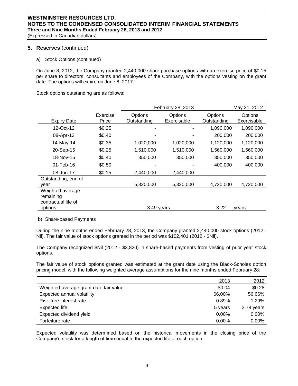## **5. Reserves** (continued)

a) Stock Options (continued)

On June 8, 2012, the Company granted 2,440,000 share purchase options with an exercise price of \$0.15 per share to directors, consultants and employees of the Company, with the options vesting on the grant date. The options will expire on June 8, 2017.

Stock options outstanding are as follows:

|                                                      |                   | February 28, 2013      |                        | May 31, 2012           |                        |
|------------------------------------------------------|-------------------|------------------------|------------------------|------------------------|------------------------|
| <b>Expiry Date</b>                                   | Exercise<br>Price | Options<br>Outstanding | Options<br>Exercisable | Options<br>Outstanding | Options<br>Exercisable |
| 12-Oct-12                                            | \$0.25            |                        |                        | 1,090,000              | 1,090,000              |
| 08-Apr-13                                            | \$0.40            |                        |                        | 200,000                | 200,000                |
| 14-May-14                                            | \$0.35            | 1,020,000              | 1,020,000              | 1,120,000              | 1,120,000              |
| 20-Sep-15                                            | \$0.25            | 1,510,000              | 1,510,000              | 1,560,000              | 1,560,000              |
| 18-Nov-15                                            | \$0.40            | 350,000                | 350,000                | 350,000                | 350,000                |
| $01$ -Feb-16                                         | \$0.50            |                        |                        | 400,000                | 400,000                |
| 08-Jun-17                                            | \$0.15            | 2,440,000              | 2,440,000              |                        |                        |
| Outstanding, end of<br>year                          |                   | 5,320,000              | 5,320,000              | 4,720,000              | 4,720,000              |
| Weighted average<br>remaining<br>contractual life of |                   |                        |                        |                        |                        |
| options                                              |                   | 3.49 years             |                        | 3.22                   | vears                  |

b) Share-based Payments

During the nine months ended February 28, 2013, the Company granted 2,440,000 stock options (2012 - Nil). The fair value of stock options granted in the period was \$102,401 (2012 - \$Nil).

The Company recognized \$Nil (2012 - \$3,820) in share-based payments from vesting of prior year stock options.

The fair value of stock options granted was estimated at the grant date using the Black-Scholes option pricing model, with the following weighted average assumptions for the nine months ended February 28:

|                                        | 2013     | 2012       |
|----------------------------------------|----------|------------|
| Weighted-average grant date fair value | \$0.04   | \$0.28     |
| Expected annual volatility             | 66,00%   | 56.66%     |
| Risk-free interest rate                | 0.89%    | 1.29%      |
| Expected life                          | 5 years  | 3.78 years |
| Expected dividend yield                | 0.00%    | $0.00\%$   |
| Forfeiture rate                        | $0.00\%$ | $0.00\%$   |

Expected volatility was determined based on the historical movements in the closing price of the Company's stock for a length of time equal to the expected life of each option.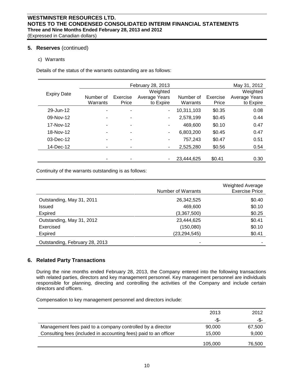## **5. Reserves** (continued)

## c) Warrants

Details of the status of the warrants outstanding are as follows:

|                    |           | February 28, 2013 |               |            | May 31, 2012 |               |
|--------------------|-----------|-------------------|---------------|------------|--------------|---------------|
|                    |           |                   | Weighted      |            |              | Weighted      |
| <b>Expiry Date</b> | Number of | Exercise          | Average Years | Number of  | Exercise     | Average Years |
|                    | Warrants  | Price             | to Expire     | Warrants   | Price        | to Expire     |
| 29-Jun-12          |           |                   | ۰             | 10,311,103 | \$0.35       | 0.08          |
| 09-Nov-12          |           | ۰                 | ٠             | 2,578,199  | \$0.45       | 0.44          |
| 17-Nov-12          |           |                   | ۰             | 469,600    | \$0.10       | 0.47          |
| 18-Nov-12          |           | ۰                 | ۰             | 6,803,200  | \$0.45       | 0.47          |
| 03-Dec-12          |           |                   | ۰             | 757,243    | \$0.47       | 0.51          |
| 14-Dec-12          |           |                   | ٠             | 2,525,280  | \$0.56       | 0.54          |
|                    |           |                   |               |            |              |               |
|                    |           |                   |               | 23,444,625 | \$0.41       | 0.30          |
|                    |           |                   |               |            |              |               |

Continuity of the warrants outstanding is as follows:

|                                | Number of Warrants | <b>Weighted Average</b><br><b>Exercise Price</b> |
|--------------------------------|--------------------|--------------------------------------------------|
| Outstanding, May 31, 2011      | 26,342,525         | \$0.40                                           |
| Issued                         | 469,600            | \$0.10                                           |
| <b>Expired</b>                 | (3,367,500)        | \$0.25                                           |
| Outstanding, May 31, 2012      | 23,444,625         | \$0.41                                           |
| Exercised                      | (150,080)          | \$0.10                                           |
| <b>Expired</b>                 | (23,294,545)       | \$0.41                                           |
| Outstanding, February 28, 2013 |                    |                                                  |

## **6. Related Party Transactions**

During the nine months ended February 28, 2013, the Company entered into the following transactions with related parties, directors and key management personnel. Key management personnel are individuals responsible for planning, directing and controlling the activities of the Company and include certain directors and officers.

Compensation to key management personnel and directors include:

|                                                                  | 2013    | 2012   |
|------------------------------------------------------------------|---------|--------|
|                                                                  | -\$-    | -\$-   |
| Management fees paid to a company controlled by a director       | 90,000  | 67,500 |
| Consulting fees (included in accounting fees) paid to an officer | 15.000  | 9,000  |
|                                                                  | 105,000 | 76,500 |